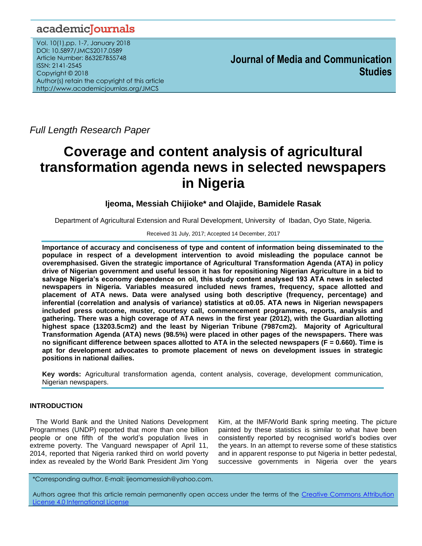# academicJournals

Vol. 10(1),pp. 1-7, January 2018 DOI: 10.5897/JMCS2017.0589 Article Number: 8632E7B55748 ISSN: 2141-2545 Copyright © 2018 Author(s) retain the copyright of this article http://www.academicjournlas.org/JMCS

**Journal of Media and Communication Studies**

*Full Length Research Paper*

# **Coverage and content analysis of agricultural transformation agenda news in selected newspapers in Nigeria**

# **Ijeoma, Messiah Chijioke\* and Olajide, Bamidele Rasak**

Department of Agricultural Extension and Rural Development, University of Ibadan, Oyo State, Nigeria.

#### Received 31 July, 2017; Accepted 14 December, 2017

**Importance of accuracy and conciseness of type and content of information being disseminated to the populace in respect of a development intervention to avoid misleading the populace cannot be overemphasised. Given the strategic importance of Agricultural Transformation Agenda (ATA) in policy drive of Nigerian government and useful lesson it has for repositioning Nigerian Agriculture in a bid to salvage Nigeria's economy dependence on oil, this study content analysed 193 ATA news in selected newspapers in Nigeria. Variables measured included news frames, frequency, space allotted and placement of ATA news. Data were analysed using both descriptive (frequency, percentage) and inferential (correlation and analysis of variance) statistics at α0.05. ATA news in Nigerian newspapers included press outcome, muster, courtesy call, commencement programmes, reports, analysis and gathering. There was a high coverage of ATA news in the first year (2012), with the Guardian allotting highest space (13203.5cm2) and the least by Nigerian Tribune (7987cm2). Majority of Agricultural Transformation Agenda (ATA) news (98.5%) were placed in other pages of the newspapers. There was no significant difference between spaces allotted to ATA in the selected newspapers (F = 0.660). Time is apt for development advocates to promote placement of news on development issues in strategic positions in national dailies.** 

**Key words:** Agricultural transformation agenda, content analysis, coverage, development communication, Nigerian newspapers.

#### **INTRODUCTION**

The World Bank and the United Nations Development Programmes (UNDP) reported that more than one billion people or one fifth of the world"s population lives in extreme poverty. The Vanguard newspaper of April 11, 2014, reported that Nigeria ranked third on world poverty index as revealed by the World Bank President Jim Yong Kim, at the IMF/World Bank spring meeting. The picture painted by these statistics is similar to what have been consistently reported by recognised world"s bodies over the years. In an attempt to reverse some of these statistics and in apparent response to put Nigeria in better pedestal, successive governments in Nigeria over the years

\*Corresponding author. E-mail: ijeomamessiah@yahoo.com.

Authors agree that this article remain permanently open access under the terms of the Creative Commons Attribution [License 4.0 International License](file://192.168.1.24/reading/Arts%20and%20Education/ERR/2014/sept/read/Correction%20Pdf%201/ERR-17.04.14-1816/Publication/Creative%20Co)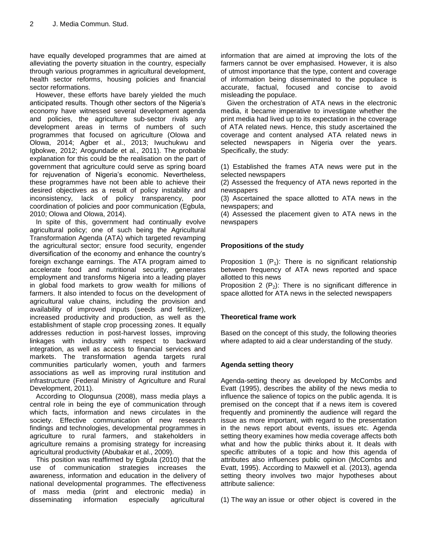have equally developed programmes that are aimed at alleviating the poverty situation in the country, especially through various programmes in agricultural development, health sector reforms, housing policies and financial sector reformations.

However, these efforts have barely yielded the much anticipated results. Though other sectors of the Nigeria"s economy have witnessed several development agenda and policies, the agriculture sub-sector rivals any development areas in terms of numbers of such programmes that focused on agriculture (Olowa and Olowa, 2014; Agber et al., 2013; Iwuchukwu and Igbokwe, 2012; Arogundade et al., 2011). The probable explanation for this could be the realisation on the part of government that agriculture could serve as spring board for rejuvenation of Nigeria's economic. Nevertheless, these programmes have not been able to achieve their desired objectives as a result of policy instability and inconsistency, lack of policy transparency, poor coordination of policies and poor communication (Egbula, 2010; Olowa and Olowa, 2014).

In spite of this, government had continually evolve agricultural policy; one of such being the Agricultural Transformation Agenda (ATA) which targeted revamping the agricultural sector; ensure food security, engender diversification of the economy and enhance the country"s foreign exchange earnings. The ATA program aimed to accelerate food and nutritional security, generates employment and transforms Nigeria into a leading player in global food markets to grow wealth for millions of farmers. It also intended to focus on the development of agricultural value chains, including the provision and availability of improved inputs (seeds and fertilizer), increased productivity and production, as well as the establishment of staple crop processing zones. It equally addresses reduction in post-harvest losses, improving linkages with industry with respect to backward integration, as well as access to financial services and markets. The transformation agenda targets rural communities particularly women, youth and farmers associations as well as improving rural institution and infrastructure (Federal Ministry of Agriculture and Rural Development, 2011).

According to Ologunsua (2008), mass media plays a central role in being the eye of communication through which facts, information and news circulates in the society. Effective communication of new research findings and technologies, developmental programmes in agriculture to rural farmers, and stakeholders in agriculture remains a promising strategy for increasing agricultural productivity (Abubakar et al., 2009).

This position was reaffirmed by Egbula (2010) that the use of communication strategies increases the awareness, information and education in the delivery of national developmental programmes. The effectiveness of mass media (print and electronic media) in disseminating information especially agricultural

information that are aimed at improving the lots of the farmers cannot be over emphasised. However, it is also of utmost importance that the type, content and coverage of information being disseminated to the populace is accurate, factual, focused and concise to avoid misleading the populace.

Given the orchestration of ATA news in the electronic media, it became imperative to investigate whether the print media had lived up to its expectation in the coverage of ATA related news. Hence, this study ascertained the coverage and content analysed ATA related news in selected newspapers in Nigeria over the years. Specifically, the study:

(1) Established the frames ATA news were put in the selected newspapers

(2) Assessed the frequency of ATA news reported in the newspapers

(3) Ascertained the space allotted to ATA news in the newspapers; and

(4) Assessed the placement given to ATA news in the newspapers

# **Propositions of the study**

Proposition 1 ( $P_1$ ): There is no significant relationship between frequency of ATA news reported and space allotted to this news

Proposition 2 ( $P_2$ ): There is no significant difference in space allotted for ATA news in the selected newspapers

# **Theoretical frame work**

Based on the concept of this study, the following theories where adapted to aid a clear understanding of the study.

#### **Agenda setting theory**

Agenda-setting theory as developed by McCombs and Evatt (1995), describes the ability of the news media to influence the salience of topics on the public agenda. It is premised on the concept that if a news item is covered frequently and prominently the audience will regard the issue as more important, with regard to the presentation in the news report about events, issues etc. Agenda setting theory examines how media coverage affects both what and how the public thinks about it. It deals with specific attributes of a topic and how this agenda of attributes also influences public opinion (McCombs and Evatt, 1995). According to Maxwell et al. (2013), agenda setting theory involves two major hypotheses about attribute salience:

(1) The way an issue or other object is covered in the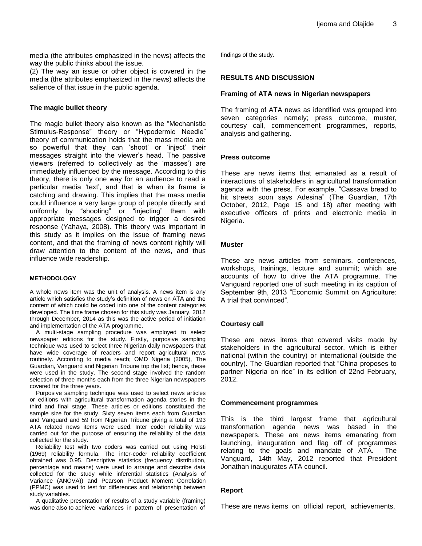media (the attributes emphasized in the news) affects the way the public thinks about the issue.

(2) The way an issue or other object is covered in the media (the attributes emphasized in the news) affects the salience of that issue in the public agenda.

#### **The magic bullet theory**

The magic bullet theory also known as the "Mechanistic Stimulus-Response" theory or "Hypodermic Needle" theory of communication holds that the mass media are so powerful that they can 'shoot' or 'inject' their messages straight into the viewer"s head. The passive viewers (referred to collectively as the "masses") are immediately influenced by the message. According to this theory, there is only one way for an audience to read a particular media "text", and that is when its frame is catching and drawing. This implies that the mass media could influence a very large group of people directly and uniformly by "shooting" or "injecting" them with appropriate messages designed to trigger a desired response (Yahaya, 2008). This theory was important in this study as it implies on the issue of framing news content, and that the framing of news content rightly will draw attention to the content of the news, and thus influence wide readership.

#### **METHODOLOGY**

A whole news item was the unit of analysis. A news item is any article which satisfies the study"s definition of news on ATA and the content of which could be coded into one of the content categories developed. The time frame chosen for this study was January, 2012 through December, 2014 as this was the active period of initiation and implementation of the ATA programme.

A multi-stage sampling procedure was employed to select newspaper editions for the study. Firstly, purposive sampling technique was used to select three Nigerian daily newspapers that have wide coverage of readers and report agricultural news routinely. According to media reach; OMD Nigeria (2005), The Guardian, Vanguard and Nigerian Tribune top the list; hence, these were used in the study. The second stage involved the random selection of three months each from the three Nigerian newspapers covered for the three years.

Purposive sampling technique was used to select news articles or editions with agricultural transformation agenda stories in the third and final stage. These articles or editions constituted the sample size for the study. Sixty seven items each from Guardian and Vanguard and 59 from Nigerian Tribune giving a total of 193 ATA related news items were used. Inter coder reliability was carried out for the purpose of ensuring the reliability of the data collected for the study.

Reliability test with two coders was carried out using Holsti (1969) reliability formula. The inter-coder reliability coefficient obtained was 0.95. Descriptive statistics (frequency distribution, percentage and means) were used to arrange and describe data collected for the study while inferential statistics (Analysis of Variance (ANOVA)) and Pearson Product Moment Correlation (PPMC) was used to test for differences and relationship between study variables.

A qualitative presentation of results of a study variable (framing) was done also to achieve variances in pattern of presentation of findings of the study.

#### **RESULTS AND DISCUSSION**

#### **Framing of ATA news in Nigerian newspapers**

The framing of ATA news as identified was grouped into seven categories namely; press outcome, muster, courtesy call, commencement programmes, reports, analysis and gathering.

#### **Press outcome**

These are news items that emanated as a result of interactions of stakeholders in agricultural transformation agenda with the press. For example, "Cassava bread to hit streets soon says Adesina" (The Guardian, 17th October, 2012, Page 15 and 18) after meeting with executive officers of prints and electronic media in Nigeria.

#### **Muster**

These are news articles from seminars, conferences, workshops, trainings, lecture and summit; which are accounts of how to drive the ATA programme. The Vanguard reported one of such meeting in its caption of September 9th, 2013 "Economic Summit on Agriculture: A trial that convinced".

#### **Courtesy call**

These are news items that covered visits made by stakeholders in the agricultural sector, which is either national (within the country) or international (outside the country). The Guardian reported that "China proposes to partner Nigeria on rice" in its edition of 22nd February, 2012.

#### **Commencement programmes**

This is the third largest frame that agricultural transformation agenda news was based in the newspapers. These are news items emanating from launching, inauguration and flag off of programmes relating to the goals and mandate of ATA. The Vanguard, 14th May, 2012 reported that President Jonathan inaugurates ATA council.

#### **Report**

These are news items on official report, achievements,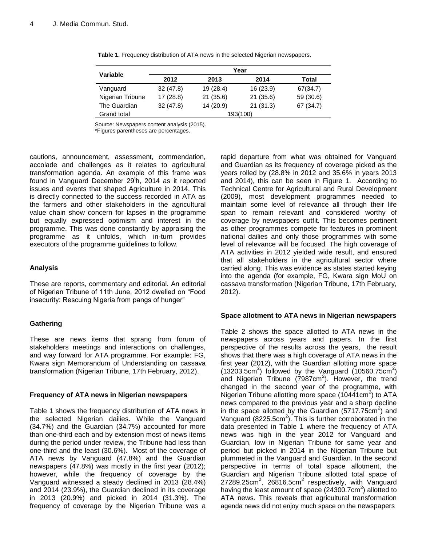|                  | Year         |           |           |           |  |  |  |
|------------------|--------------|-----------|-----------|-----------|--|--|--|
| Variable         | 2012<br>2013 |           | 2014      | Total     |  |  |  |
| Vanguard         | 32(47.8)     | 19(28.4)  | 16 (23.9) | 67(34.7)  |  |  |  |
| Nigerian Tribune | 17(28.8)     | 21(35.6)  | 21(35.6)  | 59 (30.6) |  |  |  |
| The Guardian     | 32(47.8)     | 14 (20.9) | 21(31.3)  | 67 (34.7) |  |  |  |
| Grand total      | 193(100)     |           |           |           |  |  |  |

**Table 1.** Frequency distribution of ATA news in the selected Nigerian newspapers.

Source: Newspapers content analysis (2015).

\*Figures parentheses are percentages.

cautions, announcement, assessment, commendation, accolade and challenges as it relates to agricultural transformation agenda. An example of this frame was found in Vanguard December 29<sup>th</sup>, 2014 as it reported issues and events that shaped Agriculture in 2014. This is directly connected to the success recorded in ATA as the farmers and other stakeholders in the agricultural value chain show concern for lapses in the programme but equally expressed optimism and interest in the programme. This was done constantly by appraising the programme as it unfolds, which in-turn provides executors of the programme guidelines to follow.

### **Analysis**

These are reports, commentary and editorial. An editorial of Nigerian Tribune of 11th June, 2012 dwelled on "Food insecurity: Rescuing Nigeria from pangs of hunger"

# **Gathering**

These are news items that sprang from forum of stakeholders meetings and interactions on challenges, and way forward for ATA programme. For example: FG, Kwara sign Memorandum of Understanding on cassava transformation (Nigerian Tribune, 17th February, 2012).

#### **Frequency of ATA news in Nigerian newspapers**

Table 1 shows the frequency distribution of ATA news in the selected Nigerian dailies. While the Vanguard (34.7%) and the Guardian (34.7%) accounted for more than one-third each and by extension most of news items during the period under review, the Tribune had less than one-third and the least (30.6%). Most of the coverage of ATA news by Vanguard (47.8%) and the Guardian newspapers (47.8%) was mostly in the first year (2012); however, while the frequency of coverage by the Vanguard witnessed a steady declined in 2013 (28.4%) and 2014 (23.9%), the Guardian declined in its coverage in 2013 (20.9%) and picked in 2014 (31.3%). The frequency of coverage by the Nigerian Tribune was a

rapid departure from what was obtained for Vanguard and Guardian as its frequency of coverage picked as the years rolled by (28.8% in 2012 and 35.6% in years 2013 and 2014), this can be seen in Figure 1. According to Technical Centre for Agricultural and Rural Development (2009), most development programmes needed to maintain some level of relevance all through their life span to remain relevant and considered worthy of coverage by newspapers outfit. This becomes pertinent as other programmes compete for features in prominent national dailies and only those programmes with some level of relevance will be focused. The high coverage of ATA activities in 2012 yielded wide result, and ensured that all stakeholders in the agricultural sector where carried along. This was evidence as states started keying into the agenda (for example, FG, Kwara sign MoU on cassava transformation (Nigerian Tribune, 17th February, 2012).

# **Space allotment to ATA news in Nigerian newspapers**

Table 2 shows the space allotted to ATA news in the newspapers across years and papers. In the first perspective of the results across the years, the result shows that there was a high coverage of ATA news in the first year (2012), with the Guardian allotting more space  $(13203.5cm<sup>2</sup>)$  followed by the Vanguard  $(10560.75cm<sup>2</sup>)$ and Nigerian Tribune (7987cm<sup>2</sup>). However, the trend changed in the second year of the programme, with Nigerian Tribune allotting more space (10441cm<sup>2</sup>) to ATA news compared to the previous year and a sharp decline in the space allotted by the Guardian (5717.75 $cm<sup>2</sup>$ ) and Vanguard (8225.5 $cm<sup>2</sup>$ ). This is further corroborated in the data presented in Table 1 where the frequency of ATA news was high in the year 2012 for Vanguard and Guardian, low in Nigerian Tribune for same year and period but picked in 2014 in the Nigerian Tribune but plummeted in the Vanguard and Guardian. In the second perspective in terms of total space allotment, the Guardian and Nigerian Tribune allotted total space of  $27289.25$ cm<sup>2</sup>,  $26816.5$ cm<sup>2</sup> respectively, with Vanguard having the least amount of space (24300.7cm<sup>2</sup>) allotted to ATA news. This reveals that agricultural transformation agenda news did not enjoy much space on the newspapers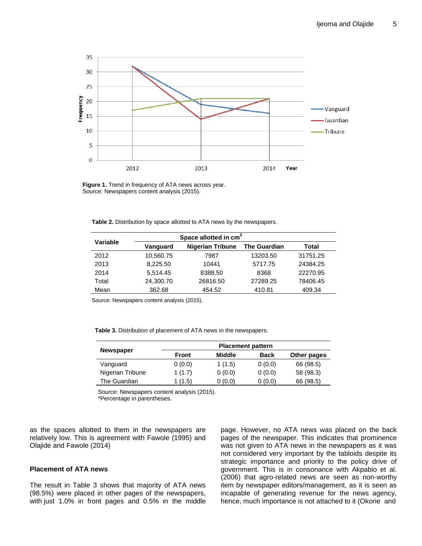

**Figure 1.** Trend in frequency of ATA news across year. Source: Newspapers content analysis (2015).

**Table 2.** Distribution by space allotted to ATA news by the newspapers.

| Variable |           | Space allotted in cm <sup>2</sup> |                     |          |  |  |
|----------|-----------|-----------------------------------|---------------------|----------|--|--|
|          | Vanguard  | <b>Nigerian Tribune</b>           | <b>The Guardian</b> | Total    |  |  |
| 2012     | 10,560.75 | 7987                              | 13203.50            | 31751.25 |  |  |
| 2013     | 8,225.50  | 10441                             | 5717.75             | 24384.25 |  |  |
| 2014     | 5,514.45  | 8388.50                           | 8368                | 22270.95 |  |  |
| Total    | 24,300.70 | 26816.50                          | 27289.25            | 78406.45 |  |  |
| Mean     | 362.68    | 454.52                            | 410.81              | 409.34   |  |  |

Source: Newspapers content analysis (2015).

**Table 3.** Distribution of placement of ATA news in the newspapers.

|                  | <b>Placement pattern</b> |        |             |             |  |  |
|------------------|--------------------------|--------|-------------|-------------|--|--|
| <b>Newspaper</b> | Front                    | Middle | <b>Back</b> | Other pages |  |  |
| Vanguard         | 0(0.0)                   | 1(1.5) | 0(0.0)      | 66 (98.5)   |  |  |
| Nigerian Tribune | 1(1.7)                   | 0(0.0) | 0(0.0)      | 58 (98.3)   |  |  |
| The Guardian     | 1 (1.5)                  | 0(0.0) | 0(0.0)      | 66 (98.5)   |  |  |

Source: Newspapers content analysis (2015). \*Percentage in parentheses.

as the spaces allotted to them in the newspapers are relatively low. This is agreement with Fawole (1995) and

#### **Placement of ATA news**

Olajide and Fawole (2014)

The result in Table 3 shows that majority of ATA news (98.5%) were placed in other pages of the newspapers, with just 1.0% in front pages and 0.5% in the middle page. However, no ATA news was placed on the back pages of the newspaper. This indicates that prominence was not given to ATA news in the newspapers as it was not considered very important by the tabloids despite its strategic importance and priority to the policy drive of government. This is in consonance with Akpabio et al. (2006) that agro-related news are seen as non-worthy item by newspaper editors/management, as it is seen as incapable of generating revenue for the news agency, hence, much importance is not attached to it (Okorie and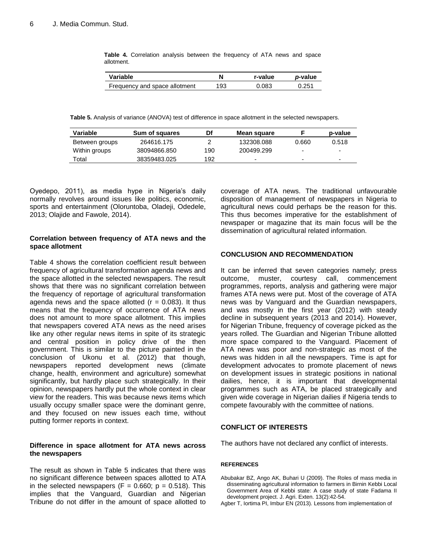|            | <b>Table 4.</b> Correlation analysis between the frequency of ATA news and space |  |  |  |  |  |
|------------|----------------------------------------------------------------------------------|--|--|--|--|--|
| allotment. |                                                                                  |  |  |  |  |  |

| Variable                      |     | r-value | <i>p</i> -value |  |
|-------------------------------|-----|---------|-----------------|--|
| Frequency and space allotment | 193 | 0.083   | 0.251           |  |

**Table 5.** Analysis of variance (ANOVA) test of difference in space allotment in the selected newspapers.

| Variable       | Sum of squares | Df  | Mean square              |       | p-value                  |
|----------------|----------------|-----|--------------------------|-------|--------------------------|
| Between groups | 264616.175     |     | 132308.088               | 0.660 | 0.518                    |
| Within groups  | 38094866.850   | 190 | 200499.299               | -     | $\overline{\phantom{0}}$ |
| Total          | 38359483.025   | 192 | $\overline{\phantom{0}}$ | -     | $\overline{\phantom{0}}$ |

Oyedepo, 2011), as media hype in Nigeria's daily normally revolves around issues like politics, economic, sports and entertainment (Oloruntoba, Oladeji, Odedele, 2013; Olajide and Fawole, 2014).

#### **Correlation between frequency of ATA news and the space allotment**

Table 4 shows the correlation coefficient result between frequency of agricultural transformation agenda news and the space allotted in the selected newspapers. The result shows that there was no significant correlation between the frequency of reportage of agricultural transformation agenda news and the space allotted  $(r = 0.083)$ . It thus means that the frequency of occurrence of ATA news does not amount to more space allotment. This implies that newspapers covered ATA news as the need arises like any other regular news items in spite of its strategic and central position in policy drive of the then government. This is similar to the picture painted in the conclusion of Ukonu et al. (2012) that though, newspapers reported development news (climate change, health, environment and agriculture) somewhat significantly, but hardly place such strategically. In their opinion, newspapers hardly put the whole context in clear view for the readers. This was because news items which usually occupy smaller space were the dominant genre, and they focused on new issues each time, without putting former reports in context.

#### **Difference in space allotment for ATA news across the newspapers**

The result as shown in Table 5 indicates that there was no significant difference between spaces allotted to ATA in the selected newspapers (F =  $0.660$ ; p =  $0.518$ ). This implies that the Vanguard, Guardian and Nigerian Tribune do not differ in the amount of space allotted to coverage of ATA news. The traditional unfavourable disposition of management of newspapers in Nigeria to agricultural news could perhaps be the reason for this. This thus becomes imperative for the establishment of newspaper or magazine that its main focus will be the dissemination of agricultural related information.

#### **CONCLUSION AND RECOMMENDATION**

It can be inferred that seven categories namely; press outcome, muster, courtesy call, commencement programmes, reports, analysis and gathering were major frames ATA news were put. Most of the coverage of ATA news was by Vanguard and the Guardian newspapers, and was mostly in the first year (2012) with steady decline in subsequent years (2013 and 2014). However, for Nigerian Tribune, frequency of coverage picked as the years rolled. The Guardian and Nigerian Tribune allotted more space compared to the Vanguard. Placement of ATA news was poor and non-strategic as most of the news was hidden in all the newspapers. Time is apt for development advocates to promote placement of news on development issues in strategic positions in national dailies, hence, it is important that developmental programmes such as ATA, be placed strategically and given wide coverage in Nigerian dailies if Nigeria tends to compete favourably with the committee of nations.

# **CONFLICT OF INTERESTS**

The authors have not declared any conflict of interests.

#### **REFERENCES**

- Abubakar BZ, Ango AK, Buhari U (2009). The Roles of mass media in disseminating agricultural information to farmers in Birnin Kebbi Local Government Area of Kebbi state: A case study of state Fadama II development project. J. Agri. Exten. 13(2):42-54.
- Agber T, Iortima PI, Imbur EN (2013). Lessons from implementation of